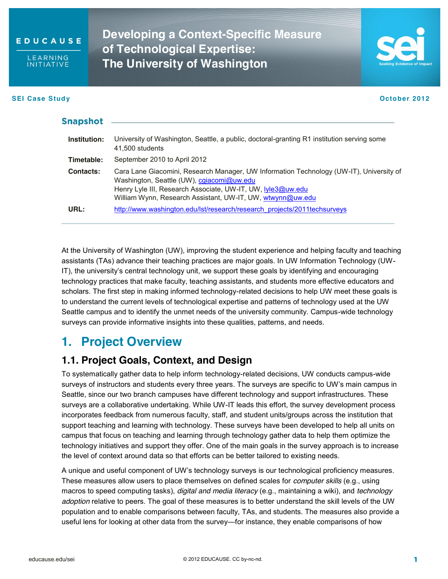

**LEARNING INITIATIVE** 

#### **SEI Case Study October 2012**

**Developing a Context-Specific Measure of Technological Expertise: The University of Washington**



| Snapsnot     |                                                                                                                                                                                                                                                                   |
|--------------|-------------------------------------------------------------------------------------------------------------------------------------------------------------------------------------------------------------------------------------------------------------------|
| Institution: | University of Washington, Seattle, a public, doctoral-granting R1 institution serving some<br>41,500 students                                                                                                                                                     |
| Timetable:   | September 2010 to April 2012                                                                                                                                                                                                                                      |
| Contacts:    | Cara Lane Giacomini, Research Manager, UW Information Technology (UW-IT), University of<br>Washington, Seattle (UW), cgiacomi@uw.edu<br>Henry Lyle III, Research Associate, UW-IT, UW, lyle3@uw.edu<br>William Wynn, Research Assistant, UW-IT, UW, wtwynn@uw.edu |
| URL:         | http://www.washington.edu/lst/research/research_projects/2011techsurveys                                                                                                                                                                                          |
|              |                                                                                                                                                                                                                                                                   |

At the University of Washington (UW), improving the student experience and helping faculty and teaching assistants (TAs) advance their teaching practices are major goals. In UW Information Technology (UW-IT), the university's central technology unit, we support these goals by identifying and encouraging technology practices that make faculty, teaching assistants, and students more effective educators and scholars. The first step in making informed technology-related decisions to help UW meet these goals is to understand the current levels of technological expertise and patterns of technology used at the UW Seattle campus and to identify the unmet needs of the university community. Campus-wide technology surveys can provide informative insights into these qualities, patterns, and needs.

# **1. Project Overview**

### **1.1. Project Goals, Context, and Design**

To systematically gather data to help inform technology-related decisions, UW conducts campus-wide surveys of instructors and students every three years. The surveys are specific to UW's main campus in Seattle, since our two branch campuses have different technology and support infrastructures. These surveys are a collaborative undertaking. While UW-IT leads this effort, the survey development process incorporates feedback from numerous faculty, staff, and student units/groups across the institution that support teaching and learning with technology. These surveys have been developed to help all units on campus that focus on teaching and learning through technology gather data to help them optimize the technology initiatives and support they offer. One of the main goals in the survey approach is to increase the level of context around data so that efforts can be better tailored to existing needs.

A unique and useful component of UW's technology surveys is our technological proficiency measures. These measures allow users to place themselves on defined scales for *computer skills* (e.g., using macros to speed computing tasks), *digital and media literacy* (e.g., maintaining a wiki), and *technology adoption* relative to peers. The goal of these measures is to better understand the skill levels of the UW population and to enable comparisons between faculty, TAs, and students. The measures also provide a useful lens for looking at other data from the survey—for instance, they enable comparisons of how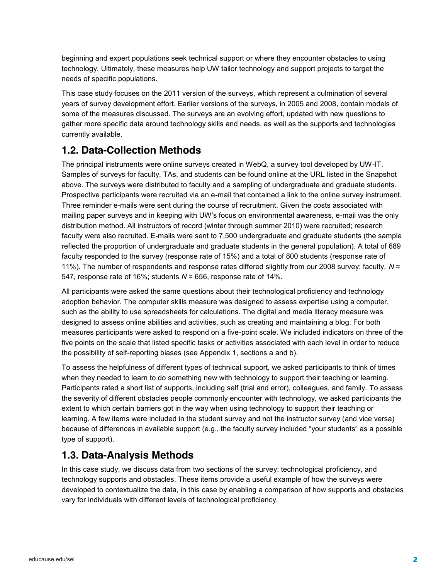beginning and expert populations seek technical support or where they encounter obstacles to using technology. Ultimately, these measures help UW tailor technology and support projects to target the needs of specific populations.

This case study focuses on the 2011 version of the surveys, which represent a culmination of several years of survey development effort. Earlier versions of the surveys, in 2005 and 2008, contain models of some of the measures discussed. The surveys are an evolving effort, updated with new questions to gather more specific data around technology skills and needs, as well as the supports and technologies currently available.

## **1.2. Data-Collection Methods**

The principal instruments were online surveys created in WebQ, a survey tool developed by UW-IT. Samples of surveys for faculty, TAs, and students can be found online at the URL listed in the Snapshot above. The surveys were distributed to faculty and a sampling of undergraduate and graduate students. Prospective participants were recruited via an e-mail that contained a link to the online survey instrument. Three reminder e-mails were sent during the course of recruitment. Given the costs associated with mailing paper surveys and in keeping with UW's focus on environmental awareness, e-mail was the only distribution method. All instructors of record (winter through summer 2010) were recruited; research faculty were also recruited. E-mails were sent to 7,500 undergraduate and graduate students (the sample reflected the proportion of undergraduate and graduate students in the general population). A total of 689 faculty responded to the survey (response rate of 15%) and a total of 800 students (response rate of 11%). The number of respondents and response rates differed slightly from our 2008 survey: faculty, *N* = 547, response rate of 16%; students *N* = 656, response rate of 14%.

All participants were asked the same questions about their technological proficiency and technology adoption behavior. The computer skills measure was designed to assess expertise using a computer, such as the ability to use spreadsheets for calculations. The digital and media literacy measure was designed to assess online abilities and activities, such as creating and maintaining a blog. For both measures participants were asked to respond on a five-point scale. We included indicators on three of the five points on the scale that listed specific tasks or activities associated with each level in order to reduce the possibility of self-reporting biases (see Appendix 1, sections a and b).

To assess the helpfulness of different types of technical support, we asked participants to think of times when they needed to learn to do something new with technology to support their teaching or learning. Participants rated a short list of supports, including self (trial and error), colleagues, and family. To assess the severity of different obstacles people commonly encounter with technology, we asked participants the extent to which certain barriers got in the way when using technology to support their teaching or learning. A few items were included in the student survey and not the instructor survey (and vice versa) because of differences in available support (e.g., the faculty survey included "your students" as a possible type of support).

### **1.3. Data-Analysis Methods**

In this case study, we discuss data from two sections of the survey: technological proficiency, and technology supports and obstacles. These items provide a useful example of how the surveys were developed to contextualize the data, in this case by enabling a comparison of how supports and obstacles vary for individuals with different levels of technological proficiency.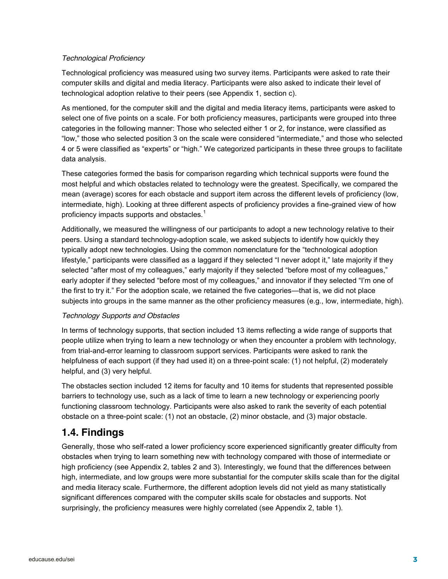#### *Technological Proficiency*

Technological proficiency was measured using two survey items. Participants were asked to rate their computer skills and digital and media literacy. Participants were also asked to indicate their level of technological adoption relative to their peers (see Appendix 1, section c).

As mentioned, for the computer skill and the digital and media literacy items, participants were asked to select one of five points on a scale. For both proficiency measures, participants were grouped into three categories in the following manner: Those who selected either 1 or 2, for instance, were classified as "low," those who selected position 3 on the scale were considered "intermediate," and those who selected 4 or 5 were classified as "experts" or "high." We categorized participants in these three groups to facilitate data analysis.

These categories formed the basis for comparison regarding which technical supports were found the most helpful and which obstacles related to technology were the greatest. Specifically, we compared the mean (average) scores for each obstacle and support item across the different levels of proficiency (low, intermediate, high). Looking at three different aspects of proficiency provides a fine-grained view of how proficiency impacts supports and obstacles.<sup>1</sup>

Additionally, we measured the willingness of our participants to adopt a new technology relative to their peers. Using a standard technology-adoption scale, we asked subjects to identify how quickly they typically adopt new technologies. Using the common nomenclature for the "technological adoption lifestyle," participants were classified as a laggard if they selected "I never adopt it," late majority if they selected "after most of my colleagues," early majority if they selected "before most of my colleagues," early adopter if they selected "before most of my colleagues," and innovator if they selected "I'm one of the first to try it." For the adoption scale, we retained the five categories—that is, we did not place subjects into groups in the same manner as the other proficiency measures (e.g., low, intermediate, high).

#### *Technology Supports and Obstacles*

In terms of technology supports, that section included 13 items reflecting a wide range of supports that people utilize when trying to learn a new technology or when they encounter a problem with technology, from trial-and-error learning to classroom support services. Participants were asked to rank the helpfulness of each support (if they had used it) on a three-point scale: (1) not helpful, (2) moderately helpful, and (3) very helpful.

The obstacles section included 12 items for faculty and 10 items for students that represented possible barriers to technology use, such as a lack of time to learn a new technology or experiencing poorly functioning classroom technology. Participants were also asked to rank the severity of each potential obstacle on a three-point scale: (1) not an obstacle, (2) minor obstacle, and (3) major obstacle.

### **1.4. Findings**

Generally, those who self-rated a lower proficiency score experienced significantly greater difficulty from obstacles when trying to learn something new with technology compared with those of intermediate or high proficiency (see Appendix 2, tables 2 and 3). Interestingly, we found that the differences between high, intermediate, and low groups were more substantial for the computer skills scale than for the digital and media literacy scale. Furthermore, the different adoption levels did not yield as many statistically significant differences compared with the computer skills scale for obstacles and supports. Not surprisingly, the proficiency measures were highly correlated (see Appendix 2, table 1).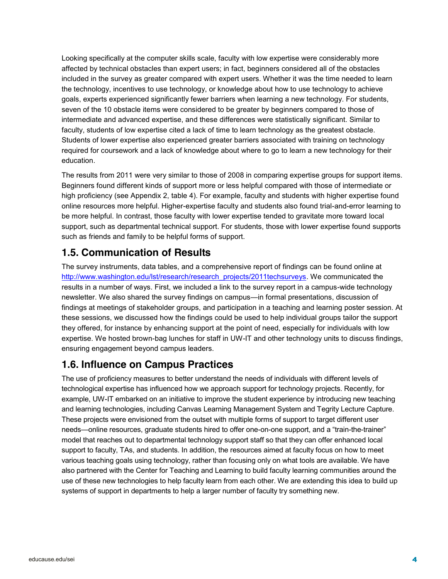Looking specifically at the computer skills scale, faculty with low expertise were considerably more affected by technical obstacles than expert users; in fact, beginners considered all of the obstacles included in the survey as greater compared with expert users. Whether it was the time needed to learn the technology, incentives to use technology, or knowledge about how to use technology to achieve goals, experts experienced significantly fewer barriers when learning a new technology. For students, seven of the 10 obstacle items were considered to be greater by beginners compared to those of intermediate and advanced expertise, and these differences were statistically significant. Similar to faculty, students of low expertise cited a lack of time to learn technology as the greatest obstacle. Students of lower expertise also experienced greater barriers associated with training on technology required for coursework and a lack of knowledge about where to go to learn a new technology for their education.

The results from 2011 were very similar to those of 2008 in comparing expertise groups for support items. Beginners found different kinds of support more or less helpful compared with those of intermediate or high proficiency (see Appendix 2, table 4). For example, faculty and students with higher expertise found online resources more helpful. Higher-expertise faculty and students also found trial-and-error learning to be more helpful. In contrast, those faculty with lower expertise tended to gravitate more toward local support, such as departmental technical support. For students, those with lower expertise found supports such as friends and family to be helpful forms of support.

## **1.5. Communication of Results**

The survey instruments, data tables, and a comprehensive report of findings can be found online at [http://www.washington.edu/lst/research/research\\_projects/2011techsurveys.](http://www.washington.edu/lst/research/research_projects/2011techsurveys) We communicated the results in a number of ways. First, we included a link to the survey report in a campus-wide technology newsletter. We also shared the survey findings on campus—in formal presentations, discussion of findings at meetings of stakeholder groups, and participation in a teaching and learning poster session. At these sessions, we discussed how the findings could be used to help individual groups tailor the support they offered, for instance by enhancing support at the point of need, especially for individuals with low expertise. We hosted brown-bag lunches for staff in UW-IT and other technology units to discuss findings, ensuring engagement beyond campus leaders.

### **1.6. Influence on Campus Practices**

The use of proficiency measures to better understand the needs of individuals with different levels of technological expertise has influenced how we approach support for technology projects. Recently, for example, UW-IT embarked on an initiative to improve the student experience by introducing new teaching and learning technologies, including Canvas Learning Management System and Tegrity Lecture Capture. These projects were envisioned from the outset with multiple forms of support to target different user needs—online resources, graduate students hired to offer one-on-one support, and a "train-the-trainer" model that reaches out to departmental technology support staff so that they can offer enhanced local support to faculty, TAs, and students. In addition, the resources aimed at faculty focus on how to meet various teaching goals using technology, rather than focusing only on what tools are available. We have also partnered with the Center for Teaching and Learning to build faculty learning communities around the use of these new technologies to help faculty learn from each other. We are extending this idea to build up systems of support in departments to help a larger number of faculty try something new.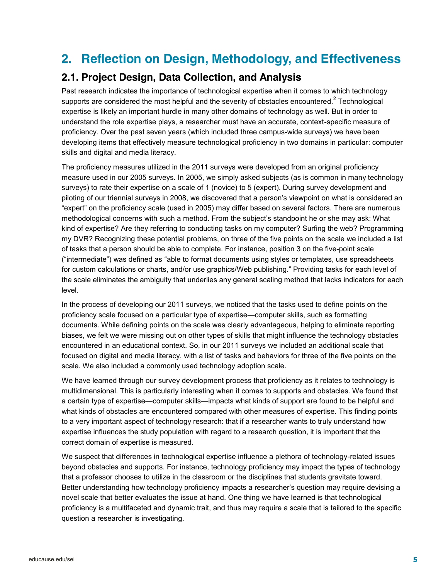# **2. Reflection on Design, Methodology, and Effectiveness**

## **2.1. Project Design, Data Collection, and Analysis**

Past research indicates the importance of technological expertise when it comes to which technology supports are considered the most helpful and the severity of obstacles encountered. $2$  Technological expertise is likely an important hurdle in many other domains of technology as well. But in order to understand the role expertise plays, a researcher must have an accurate, context-specific measure of proficiency. Over the past seven years (which included three campus-wide surveys) we have been developing items that effectively measure technological proficiency in two domains in particular: computer skills and digital and media literacy.

The proficiency measures utilized in the 2011 surveys were developed from an original proficiency measure used in our 2005 surveys. In 2005, we simply asked subjects (as is common in many technology surveys) to rate their expertise on a scale of 1 (novice) to 5 (expert). During survey development and piloting of our triennial surveys in 2008, we discovered that a person's viewpoint on what is considered an "expert" on the proficiency scale (used in 2005) may differ based on several factors. There are numerous methodological concerns with such a method. From the subject's standpoint he or she may ask: What kind of expertise? Are they referring to conducting tasks on my computer? Surfing the web? Programming my DVR? Recognizing these potential problems, on three of the five points on the scale we included a list of tasks that a person should be able to complete. For instance, position 3 on the five-point scale ("intermediate") was defined as "able to format documents using styles or templates, use spreadsheets for custom calculations or charts, and/or use graphics/Web publishing." Providing tasks for each level of the scale eliminates the ambiguity that underlies any general scaling method that lacks indicators for each level.

In the process of developing our 2011 surveys, we noticed that the tasks used to define points on the proficiency scale focused on a particular type of expertise—computer skills, such as formatting documents. While defining points on the scale was clearly advantageous, helping to eliminate reporting biases, we felt we were missing out on other types of skills that might influence the technology obstacles encountered in an educational context. So, in our 2011 surveys we included an additional scale that focused on digital and media literacy, with a list of tasks and behaviors for three of the five points on the scale. We also included a commonly used technology adoption scale.

We have learned through our survey development process that proficiency as it relates to technology is multidimensional. This is particularly interesting when it comes to supports and obstacles. We found that a certain type of expertise—computer skills—impacts what kinds of support are found to be helpful and what kinds of obstacles are encountered compared with other measures of expertise. This finding points to a very important aspect of technology research: that if a researcher wants to truly understand how expertise influences the study population with regard to a research question, it is important that the correct domain of expertise is measured.

We suspect that differences in technological expertise influence a plethora of technology-related issues beyond obstacles and supports. For instance, technology proficiency may impact the types of technology that a professor chooses to utilize in the classroom or the disciplines that students gravitate toward. Better understanding how technology proficiency impacts a researcher's question may require devising a novel scale that better evaluates the issue at hand. One thing we have learned is that technological proficiency is a multifaceted and dynamic trait, and thus may require a scale that is tailored to the specific question a researcher is investigating.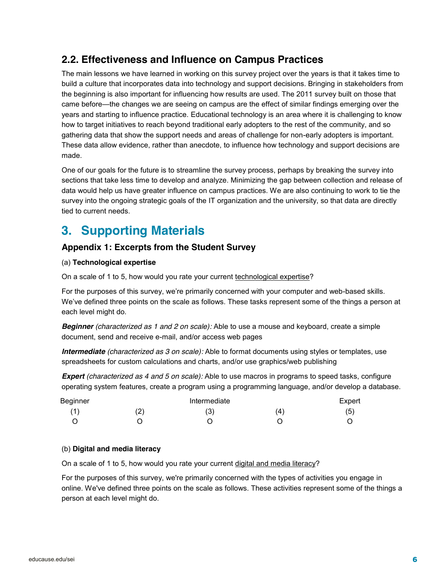## **2.2. Effectiveness and Influence on Campus Practices**

The main lessons we have learned in working on this survey project over the years is that it takes time to build a culture that incorporates data into technology and support decisions. Bringing in stakeholders from the beginning is also important for influencing how results are used. The 2011 survey built on those that came before—the changes we are seeing on campus are the effect of similar findings emerging over the years and starting to influence practice. Educational technology is an area where it is challenging to know how to target initiatives to reach beyond traditional early adopters to the rest of the community, and so gathering data that show the support needs and areas of challenge for non-early adopters is important. These data allow evidence, rather than anecdote, to influence how technology and support decisions are made.

One of our goals for the future is to streamline the survey process, perhaps by breaking the survey into sections that take less time to develop and analyze. Minimizing the gap between collection and release of data would help us have greater influence on campus practices. We are also continuing to work to tie the survey into the ongoing strategic goals of the IT organization and the university, so that data are directly tied to current needs.

# **3. Supporting Materials**

### **Appendix 1: Excerpts from the Student Survey**

#### (a) **Technological expertise**

On a scale of 1 to 5, how would you rate your current technological expertise?

For the purposes of this survey, we're primarily concerned with your computer and web-based skills. We've defined three points on the scale as follows. These tasks represent some of the things a person at each level might do.

*Beginner (characterized as 1 and 2 on scale):* Able to use a mouse and keyboard, create a simple document, send and receive e-mail, and/or access web pages

*Intermediate (characterized as 3 on scale):* Able to format documents using styles or templates, use spreadsheets for custom calculations and charts, and/or use graphics/web publishing

*Expert (characterized as 4 and 5 on scale):* Able to use macros in programs to speed tasks, configure operating system features, create a program using a programming language, and/or develop a database.

| Beginner | Intermediate |     | Expert |
|----------|--------------|-----|--------|
| (1)      | (3)          | (4) | (5)    |
|          |              |     |        |

#### (b) **Digital and media literacy**

On a scale of 1 to 5, how would you rate your current digital and media literacy?

For the purposes of this survey, we're primarily concerned with the types of activities you engage in online. We've defined three points on the scale as follows. These activities represent some of the things a person at each level might do.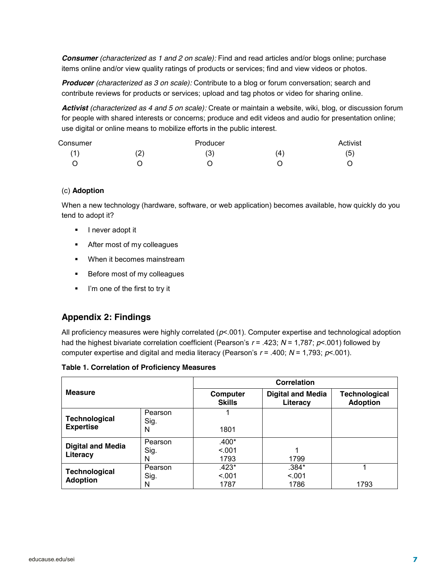*Consumer (characterized as 1 and 2 on scale):* Find and read articles and/or blogs online; purchase items online and/or view quality ratings of products or services; find and view videos or photos.

*Producer (characterized as 3 on scale):* Contribute to a blog or forum conversation; search and contribute reviews for products or services; upload and tag photos or video for sharing online.

*Activist (characterized as 4 and 5 on scale):* Create or maintain a website, wiki, blog, or discussion forum for people with shared interests or concerns; produce and edit videos and audio for presentation online; use digital or online means to mobilize efforts in the public interest.

| Consumer |     | Producer          |                      | Activist |
|----------|-----|-------------------|----------------------|----------|
| (1)      | (2) | $\mathbf{2}$<br>U | $\mathbf{A}^{\cdot}$ | (5)      |
|          |     |                   |                      |          |

#### (c) **Adoption**

When a new technology (hardware, software, or web application) becomes available, how quickly do you tend to adopt it?

- **I** never adopt it
- After most of my colleagues
- When it becomes mainstream
- **Before most of my colleagues**
- I'm one of the first to try it

#### **Appendix 2: Findings**

All proficiency measures were highly correlated (*p*<.001). Computer expertise and technological adoption had the highest bivariate correlation coefficient (Pearson's  $r = .423$ ;  $N = 1,787$ ;  $p < .001$ ) followed by computer expertise and digital and media literacy (Pearson's *r* = .400; *N* = 1,793; *p*<.001).

**Table 1. Correlation of Proficiency Measures**

|                                          |                      | <b>Correlation</b>         |                                      |                                         |  |  |  |  |
|------------------------------------------|----------------------|----------------------------|--------------------------------------|-----------------------------------------|--|--|--|--|
| <b>Measure</b>                           |                      | Computer<br><b>Skills</b>  | <b>Digital and Media</b><br>Literacy | <b>Technological</b><br><b>Adoption</b> |  |  |  |  |
| <b>Technological</b><br><b>Expertise</b> | Pearson<br>Sig.<br>N | 1801                       |                                      |                                         |  |  |  |  |
| <b>Digital and Media</b><br>Literacy     | Pearson<br>Sig.<br>N | $.400*$<br>< 0.01<br>1793  | 1799                                 |                                         |  |  |  |  |
| <b>Technological</b><br><b>Adoption</b>  | Pearson<br>Sig.<br>N | $.423*$<br>< 0.001<br>1787 | $.384*$<br>< 001<br>1786             | 1793                                    |  |  |  |  |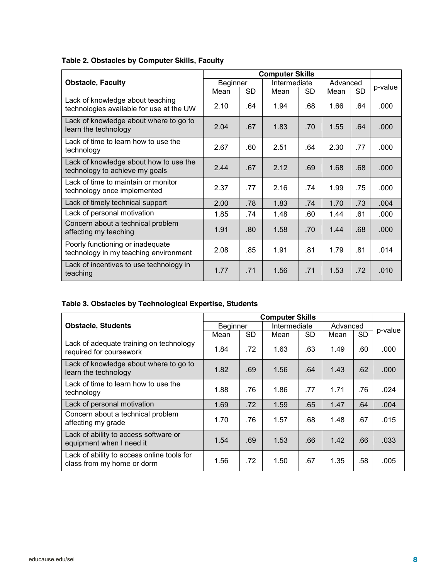|                                                                              | <b>Computer Skills</b> |           |              |     |          |     |         |
|------------------------------------------------------------------------------|------------------------|-----------|--------------|-----|----------|-----|---------|
| <b>Obstacle, Faculty</b>                                                     | Beginner               |           | Intermediate |     | Advanced |     |         |
|                                                                              | Mean                   | <b>SD</b> | Mean         | SD  | Mean     | SD  | p-value |
| Lack of knowledge about teaching<br>technologies available for use at the UW | 2.10                   | .64       | 1.94         | .68 | 1.66     | .64 | .000    |
| Lack of knowledge about where to go to<br>learn the technology               | 2.04                   | .67       | 1.83         | .70 | 1.55     | .64 | .000    |
| Lack of time to learn how to use the<br>technology                           | 2.67                   | .60       | 2.51         | .64 | 2.30     | .77 | .000    |
| Lack of knowledge about how to use the<br>technology to achieve my goals     | 244                    | .67       | 2.12         | .69 | 1.68     | .68 | .000    |
| Lack of time to maintain or monitor<br>technology once implemented           | 2.37                   | .77       | 2.16         | .74 | 1.99     | .75 | .000    |
| Lack of timely technical support                                             | 2.00                   | .78       | 1.83         | .74 | 1.70     | .73 | .004    |
| Lack of personal motivation                                                  | 1.85                   | .74       | 1.48         | .60 | 1.44     | .61 | .000    |
| Concern about a technical problem<br>affecting my teaching                   | 1.91                   | .80       | 1.58         | .70 | 1.44     | .68 | .000.   |
| Poorly functioning or inadequate<br>technology in my teaching environment    | 2.08                   | .85       | 1.91         | .81 | 1.79     | .81 | .014    |
| Lack of incentives to use technology in<br>teaching                          | 1.77                   | .71       | 1.56         | .71 | 1.53     | .72 | .010    |

### **Table 2. Obstacles by Computer Skills, Faculty**

### **Table 3. Obstacles by Technological Expertise, Students**

|                                                                          | <b>Computer Skills</b> |           |              |           |          |           |         |
|--------------------------------------------------------------------------|------------------------|-----------|--------------|-----------|----------|-----------|---------|
| <b>Obstacle, Students</b>                                                | <b>Beginner</b>        |           | Intermediate |           | Advanced |           | p-value |
|                                                                          | Mean                   | <b>SD</b> | Mean         | <b>SD</b> | Mean     | <b>SD</b> |         |
| Lack of adequate training on technology<br>required for coursework       | 1.84                   | .72       | 1.63         | .63       | 1.49     | .60       | .000    |
| Lack of knowledge about where to go to<br>learn the technology           | 1.82                   | .69       | 1.56         | .64       | 1.43     | .62       | .000    |
| Lack of time to learn how to use the<br>technology                       | 1.88                   | .76       | 1.86         | .77       | 1.71     | .76       | .024    |
| Lack of personal motivation                                              | 1.69                   | .72       | 1.59         | .65       | 1.47     | .64       | .004    |
| Concern about a technical problem<br>affecting my grade                  | 1.70                   | .76       | 1.57         | .68       | 1.48     | .67       | .015    |
| Lack of ability to access software or<br>equipment when I need it        | 1.54                   | .69       | 1.53         | .66       | 1.42     | .66       | .033    |
| Lack of ability to access online tools for<br>class from my home or dorm | 1.56                   | .72       | 1.50         | .67       | 1.35     | .58       | .005    |